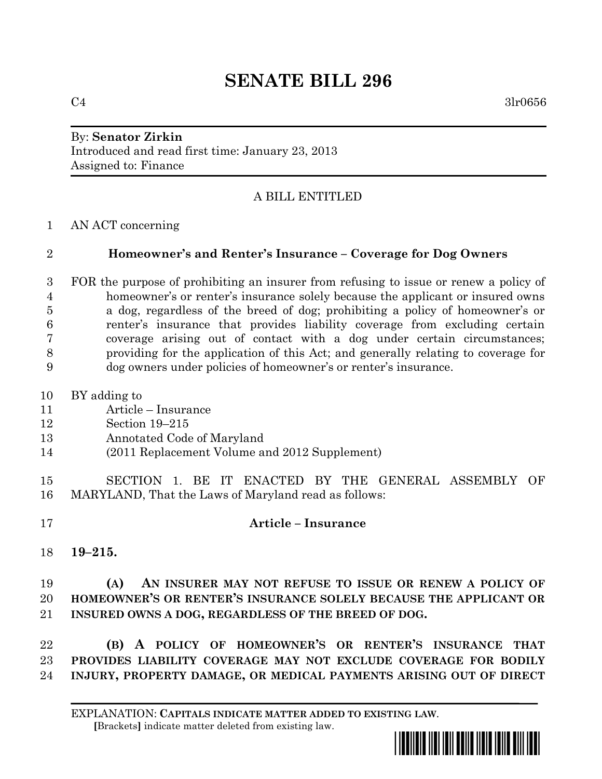# **SENATE BILL 296**

## By: **Senator Zirkin** Introduced and read first time: January 23, 2013 Assigned to: Finance

# A BILL ENTITLED

AN ACT concerning

#### **Homeowner's and Renter's Insurance – Coverage for Dog Owners**

- FOR the purpose of prohibiting an insurer from refusing to issue or renew a policy of homeowner's or renter's insurance solely because the applicant or insured owns a dog, regardless of the breed of dog; prohibiting a policy of homeowner's or renter's insurance that provides liability coverage from excluding certain coverage arising out of contact with a dog under certain circumstances; providing for the application of this Act; and generally relating to coverage for dog owners under policies of homeowner's or renter's insurance.
- BY adding to
- Article Insurance
- Section 19–215
- Annotated Code of Maryland
- (2011 Replacement Volume and 2012 Supplement)
- SECTION 1. BE IT ENACTED BY THE GENERAL ASSEMBLY OF MARYLAND, That the Laws of Maryland read as follows:

#### **Article – Insurance**

**19–215.**

# **(A) AN INSURER MAY NOT REFUSE TO ISSUE OR RENEW A POLICY OF HOMEOWNER'S OR RENTER'S INSURANCE SOLELY BECAUSE THE APPLICANT OR INSURED OWNS A DOG, REGARDLESS OF THE BREED OF DOG.**

 **(B) A POLICY OF HOMEOWNER'S OR RENTER'S INSURANCE THAT PROVIDES LIABILITY COVERAGE MAY NOT EXCLUDE COVERAGE FOR BODILY INJURY, PROPERTY DAMAGE, OR MEDICAL PAYMENTS ARISING OUT OF DIRECT**